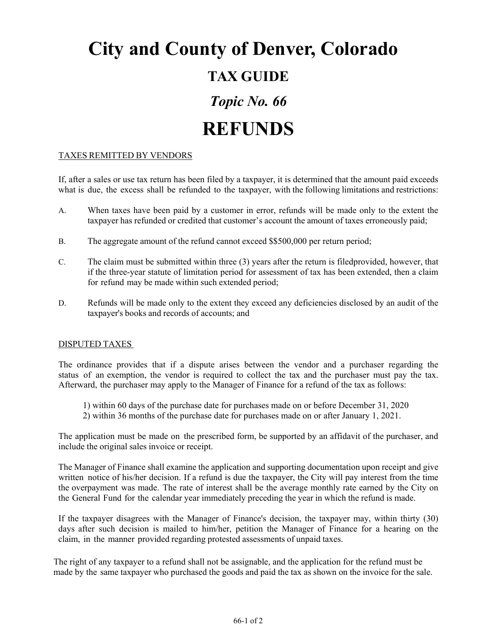## **City and County of Denver, Colorado TAX GUIDE** *Topic No. 66* **REFUNDS**

## TAXES REMITTED BY VENDORS

If, after a sales or use tax return has been filed by a taxpayer, it is determined that the amount paid exceeds what is due, the excess shall be refunded to the taxpayer, with the following limitations and restrictions:

- A. When taxes have been paid by a customer in error, refunds will be made only to the extent the taxpayer has refunded or credited that customer's account the amount of taxes erroneously paid;
- B. The aggregate amount of the refund cannot exceed \$\$500,000 per return period;
- C. The claim must be submitted within three (3) years after the return is filedprovided, however, that if the three-year statute of limitation period for assessment of tax has been extended, then a claim for refund may be made within such extended period;
- D. Refunds will be made only to the extent they exceed any deficiencies disclosed by an audit of the taxpayer's books and records of accounts; and

## DISPUTED TAXES

The ordinance provides that if a dispute arises between the vendor and a purchaser regarding the status of an exemption, the vendor is required to collect the tax and the purchaser must pay the tax. Afterward, the purchaser may apply to the Manager of Finance for a refund of the tax as follows:

- 1) within 60 days of the purchase date for purchases made on or before December 31, 2020
- 2) within 36 months of the purchase date for purchases made on or after January 1, 2021.

The application must be made on the prescribed form, be supported by an affidavit of the purchaser, and include the original sales invoice or receipt.

The Manager of Finance shall examine the application and supporting documentation upon receipt and give written notice of his/her decision. If a refund is due the taxpayer, the City will pay interest from the time the overpayment was made. The rate of interest shall be the average monthly rate earned by the City on the General Fund for the calendar year immediately preceding the year in which the refund is made.

If the taxpayer disagrees with the Manager of Finance's decision, the taxpayer may, within thirty (30) days after such decision is mailed to him/her, petition the Manager of Finance for a hearing on the claim, in the manner provided regarding protested assessments of unpaid taxes.

The right of any taxpayer to a refund shall not be assignable, and the application for the refund must be made by the same taxpayer who purchased the goods and paid the tax as shown on the invoice for the sale.